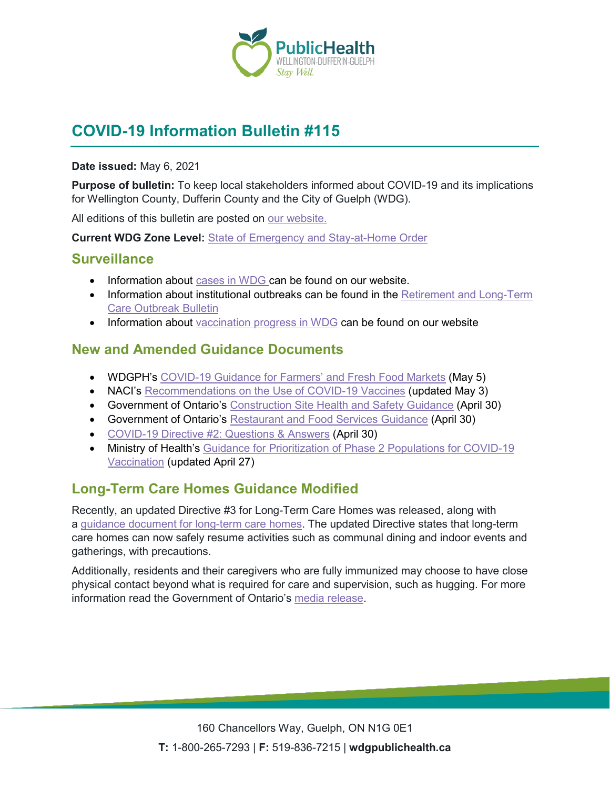

# **COVID-19 Information Bulletin #115**

#### **Date issued:** May 6, 2021

**Purpose of bulletin:** To keep local stakeholders informed about COVID-19 and its implications for Wellington County, Dufferin County and the City of Guelph (WDG).

All editions of this bulletin are posted on [our website.](https://www.wdgpublichealth.ca/your-health/covid-19-information-workplaces-and-living-spaces/community-stakeholder-bulletins)

**Current WDG Zone Level:** [State of Emergency and Stay-at-Home Order](https://www.ontario.ca/page/covid-19-provincewide-shutdown)

#### **Surveillance**

- Information about [cases in WDG](https://wdgpublichealth.ca/your-health/covid-19-information-public/status-cases-wdg) can be found on our website.
- Information about institutional outbreaks can be found in the Retirement and Long-Term [Care Outbreak Bulletin](https://wdgpublichealth.ca/node/1542)
- Information about [vaccination progress](https://www.wdgpublichealth.ca/your-health/covid-19-information-public/covid-19-vaccine-information-public) in WDG can be found on our website

### **New and Amended Guidance Documents**

- WDGPH's [COVID-19 Guidance for Farmers' and Fresh Food](https://www.wdgpublichealth.ca/sites/default/files/wdgph_guidance_for_farmers_and_fresh_food_markets_updated_may_5_2021.pdf) Markets (May 5)
- NACI's [Recommendations on the Use of COVID-19 Vaccines](https://www.canada.ca/en/public-health/services/immunization/national-advisory-committee-on-immunization-naci/recommendations-use-covid-19-vaccines.html) (updated May 3)
- Government of Ontario's [Construction Site Health and Safety Guidance](https://www.ontario.ca/page/construction-site-health-and-safety-during-covid-19) (April 30)
- Government of Ontario's [Restaurant and Food Services](https://www.ontario.ca/page/restaurant-and-food-services-health-and-safety-during-covid-19) Guidance (April 30)
- [COVID-19 Directive #2: Questions & Answers](https://www.health.gov.on.ca/en/pro/programs/publichealth/coronavirus/docs/directives/Directive_2_QA.pdf) (April 30)
- Ministry of Health's Guidance for Prioritization of Phase 2 Populations for COVID-19 [Vaccination](https://www.health.gov.on.ca/en/pro/programs/publichealth/coronavirus/docs/vaccine/COVID-19_Phase_2_vaccination_prioritization.pdf) (updated April 27)

## **Long-Term Care Homes Guidance Modified**

Recently, an updated Directive #3 for Long-Term Care Homes was released, along with a [guidance document for long-term care homes.](https://www.ontario.ca/page/covid-19-guidance-document-long-term-care-homes-ontario) The updated Directive states that long-term care homes can now safely resume activities such as communal dining and indoor events and gatherings, with precautions.

Additionally, residents and their caregivers who are fully immunized may choose to have close physical contact beyond what is required for care and supervision, such as hugging. For more information read the Government of Ontario's [media release.](https://news.ontario.ca/en/release/1000065/ontario-responds-to-high-vaccination-rates-modifies-restrictions-in-long-term-care-homes)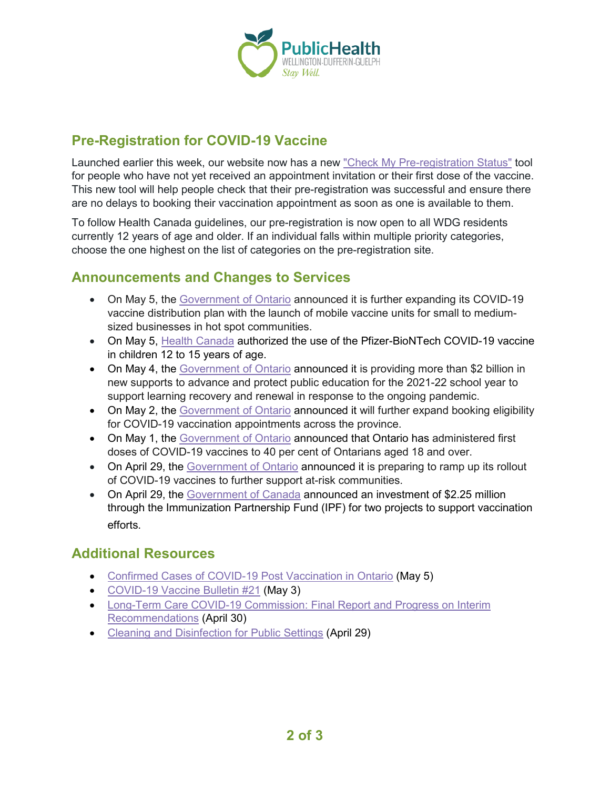

# **Pre-Registration for COVID-19 Vaccine**

Launched earlier this week, our website now has a new ["Check My Pre-registration Status"](https://register.wdgpublichealth.ca/check-registration) tool for people who have not yet received an appointment invitation or their first dose of the vaccine. This new tool will help people check that their pre-registration was successful and ensure there are no delays to booking their vaccination appointment as soon as one is available to them.

To follow Health Canada guidelines, our pre-registration is now open to all WDG residents currently 12 years of age and older. If an individual falls within multiple priority categories, choose the one highest on the list of categories on the pre-registration site.

### **Announcements and Changes to Services**

- On May 5, the [Government of Ontario](https://news.ontario.ca/en/release/1000072/ontario-launches-mobile-vaccine-units-in-hot-spot-workplaces) announced it is further expanding its COVID-19 vaccine distribution plan with the launch of mobile vaccine units for small to mediumsized businesses in hot spot communities.
- On May 5, [Health Canada](https://www.canada.ca/en/health-canada/news/2021/05/health-canada-authorizes-use-of-the-pfizer-biontech-covid-19-vaccine-in-children-12-to-15-years-of-age.html) authorized the use of the Pfizer-BioNTech COVID-19 vaccine in children 12 to 15 years of age.
- On May 4, the [Government of Ontario](https://news.ontario.ca/en/release/1000064/ontario-unveils-2-billion-plan-to-keep-schools-safe-and-support-learning-recovery-and-renewal) announced it is providing more than \$2 billion in new supports to advance and protect public education for the 2021-22 school year to support learning recovery and renewal in response to the ongoing pandemic.
- On May 2, the [Government of Ontario](https://news.ontario.ca/en/release/1000052/ontario-expands-covid-19-vaccination-booking-for-more-people) announced it will further expand booking eligibility for COVID-19 vaccination appointments across the province.
- On May 1, the [Government of Ontario](https://news.ontario.ca/en/statement/1000051/40-per-cent-of-ontario-adults-have-received-at-least-one-dose-of-the-covid-19-vaccine) announced that Ontario has administered first doses of COVID-19 vaccines to 40 per cent of Ontarians aged 18 and over.
- On April 29, the [Government of Ontario](https://news.ontario.ca/en/release/1000035/ontario-prepares-to-accelerate-rollout-as-vaccine-supply-increases) announced it is preparing to ramp up its rollout of COVID-19 vaccines to further support at-risk communities.
- On April 29, the [Government of Canada](https://www.canada.ca/en/public-health/news/2021/04/government-of-canada-funds-two-new-projects-to-encourage-vaccine-uptake-in-canada.html) announced an investment of \$2.25 million through the Immunization Partnership Fund (IPF) for two projects to support vaccination efforts.

### **Additional Resources**

- [Confirmed Cases of COVID-19 Post Vaccination in Ontario](https://www.publichealthontario.ca/-/media/documents/ncov/epi/covid-19-epi-confirmed-cases-post-vaccination.pdf?la=en) (May 5)
- [COVID-19 Vaccine Bulletin #21](https://www.wdgpublichealth.ca/sites/default/files/wdgph_covid-19_vaccine_bulletin_21_may_3.pdf) (May 3)
- [Long-Term Care COVID-19 Commission: Final Report and Progress on](https://www.ontario.ca/page/long-term-care-covid-19-commission-progress-interim-recommendations?_ga=2.14049207.1050769222.1620218640-1123331746.1579028832) Interim [Recommendations](https://www.ontario.ca/page/long-term-care-covid-19-commission-progress-interim-recommendations?_ga=2.14049207.1050769222.1620218640-1123331746.1579028832) (April 30)
- [Cleaning and Disinfection for Public Settings](https://www.publichealthontario.ca/-/media/documents/ncov/factsheet-covid-19-environmental-cleaning.pdf?la=en) (April 29)